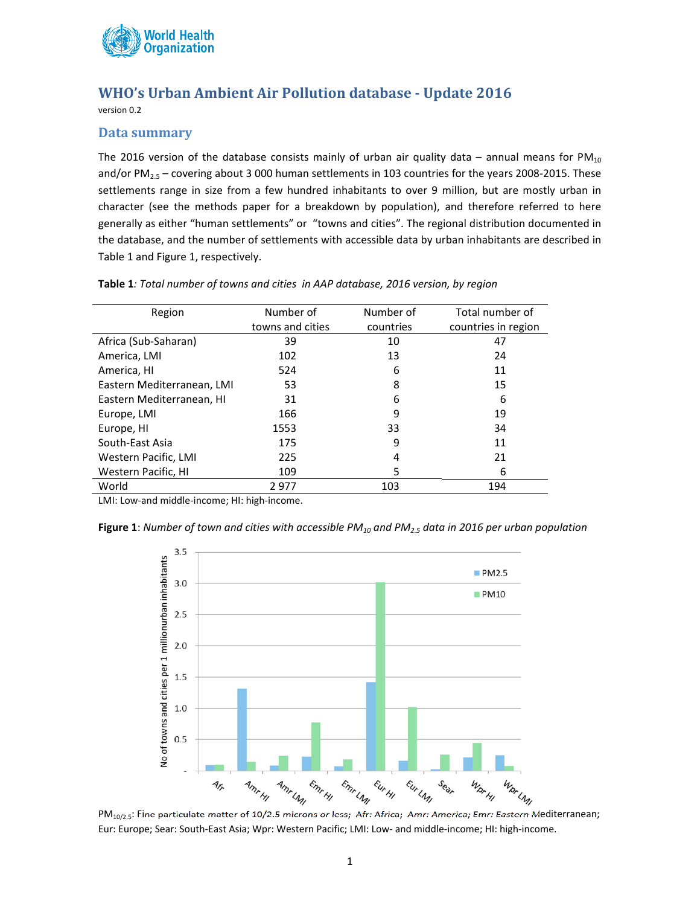

## **WHO's Urban Ambient Air Pollution database ‐ Update 2016**

version 0.2

## **Data summary**

The 2016 version of the database consists mainly of urban air quality data – annual means for  $PM_{10}$ and/or  $PM_{2.5}$  – covering about 3 000 human settlements in 103 countries for the years 2008-2015. These settlements range in size from a few hundred inhabitants to over 9 million, but are mostly urban in character (see the methods paper for a breakdown by population), and therefore referred to here generally as either "human settlements" or "towns and cities". The regional distribution documented in the database, and the number of settlements with accessible data by urban inhabitants are described in Table 1 and Figure 1, respectively.

| Region                     | Number of        | Number of | Total number of     |
|----------------------------|------------------|-----------|---------------------|
|                            | towns and cities | countries | countries in region |
| Africa (Sub-Saharan)       | 39               | 10        | 47                  |
| America, LMI               | 102              | 13        | 24                  |
| America, HI                | 524              | 6         | 11                  |
| Eastern Mediterranean, LMI | 53               | 8         | 15                  |
| Eastern Mediterranean, HI  | 31               | 6         | 6                   |
| Europe, LMI                | 166              | 9         | 19                  |
| Europe, HI                 | 1553             | 33        | 34                  |
| South-East Asia            | 175              | 9         | 11                  |
| Western Pacific, LMI       | 225              | 4         | 21                  |
| Western Pacific, HI        | 109              | 5         | 6                   |
| World                      | 2977             | 103       | 194                 |

**Table 1***: Total number of towns and cities in AAP database, 2016 version, by region*

LMI: Low‐and middle‐income; HI: high‐income.





Eur: Europe; Sear: South‐East Asia; Wpr: Western Pacific; LMI: Low‐ and middle‐income; HI: high‐income.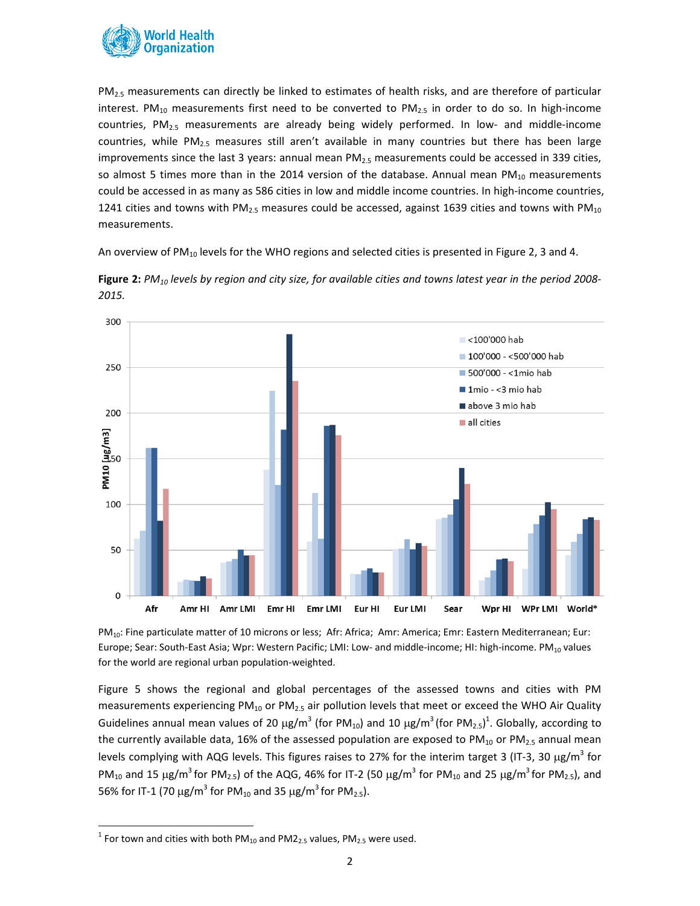

PM<sub>2.5</sub> measurements can directly be linked to estimates of health risks, and are therefore of particular interest. PM<sub>10</sub> measurements first need to be converted to PM<sub>2.5</sub> in order to do so. In high-income countries, PM<sub>2.5</sub> measurements are already being widely performed. In low- and middle-income countries, while  $PM<sub>2.5</sub>$  measures still aren't available in many countries but there has been large improvements since the last 3 years: annual mean  $PM_{2.5}$  measurements could be accessed in 339 cities, so almost 5 times more than in the 2014 version of the database. Annual mean  $PM_{10}$  measurements could be accessed in as many as 586 cities in low and middle income countries. In high-income countries, 1241 cities and towns with PM<sub>2.5</sub> measures could be accessed, against 1639 cities and towns with PM<sub>10</sub> measurements.

An overview of PM<sub>10</sub> levels for the WHO regions and selected cities is presented in Figure 2, 3 and 4.



Figure 2:  $PM_{10}$  levels by region and city size, for available cities and towns latest year in the period 2008-*2015.*

PM<sub>10</sub>: Fine particulate matter of 10 microns or less; Afr: Africa; Amr: America; Emr: Eastern Mediterranean; Eur: Europe; Sear: South-East Asia; Wpr: Western Pacific; LMI: Low- and middle-income; HI: high-income. PM<sub>10</sub> values for the world are regional urban population-weighted.

Figure 5 shows the regional and global percentages of the assessed towns and cities with PM measurements experiencing  $PM_{10}$  or  $PM_{2.5}$  air pollution levels that meet or exceed the WHO Air Quality Guidelines annual mean values of 20  $\mu$ g/m<sup>3</sup> (for PM<sub>10</sub>) and 10  $\mu$ g/m<sup>3</sup> (for PM<sub>2.5</sub>)<sup>1</sup>. Globally, according to the currently available data, 16% of the assessed population are exposed to PM<sub>10</sub> or PM<sub>2.5</sub> annual mean levels complying with AQG levels. This figures raises to 27% for the interim target 3 (IT-3, 30  $\mu$ g/m<sup>3</sup> for PM<sub>10</sub> and 15  $\mu$ g/m<sup>3</sup> for PM<sub>2.5</sub>) of the AQG, 46% for IT-2 (50  $\mu$ g/m<sup>3</sup> for PM<sub>10</sub> and 25  $\mu$ g/m<sup>3</sup> for PM<sub>2.5</sub>), and 56% for IT-1 (70  $\mu$ g/m<sup>3</sup> for PM<sub>10</sub> and 35  $\mu$ g/m<sup>3</sup> for PM<sub>2.5</sub>).

<sup>&</sup>lt;sup>1</sup> For town and cities with both PM<sub>10</sub> and PM2<sub>2.5</sub> values, PM<sub>2.5</sub> were used.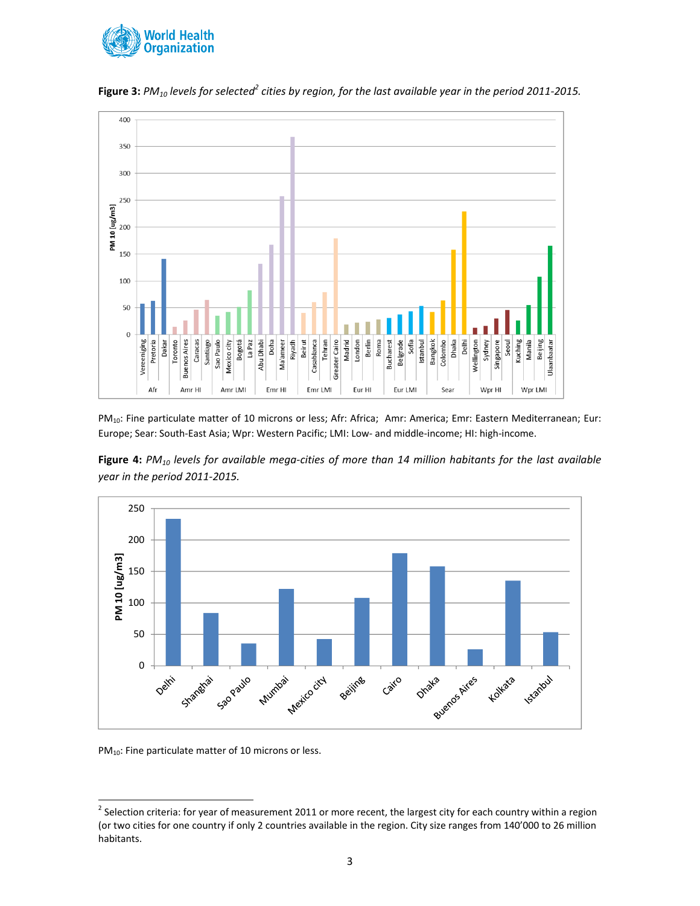



Figure 3: PM<sub>10</sub> levels for selected<sup>2</sup> cities by region, for the last available year in the period 2011-2015.

PM<sub>10</sub>: Fine particulate matter of 10 microns or less; Afr: Africa; Amr: America; Emr: Eastern Mediterranean; Eur: Europe; Sear: South‐East Asia; Wpr: Western Pacific; LMI: Low‐ and middle‐income; HI: high‐income.





PM<sub>10</sub>: Fine particulate matter of 10 microns or less.

 $^2$  Selection criteria: for year of measurement 2011 or more recent, the largest city for each country within a region (or two cities for one country if only 2 countries available in the region. City size ranges from 140'000 to 26 million habitants.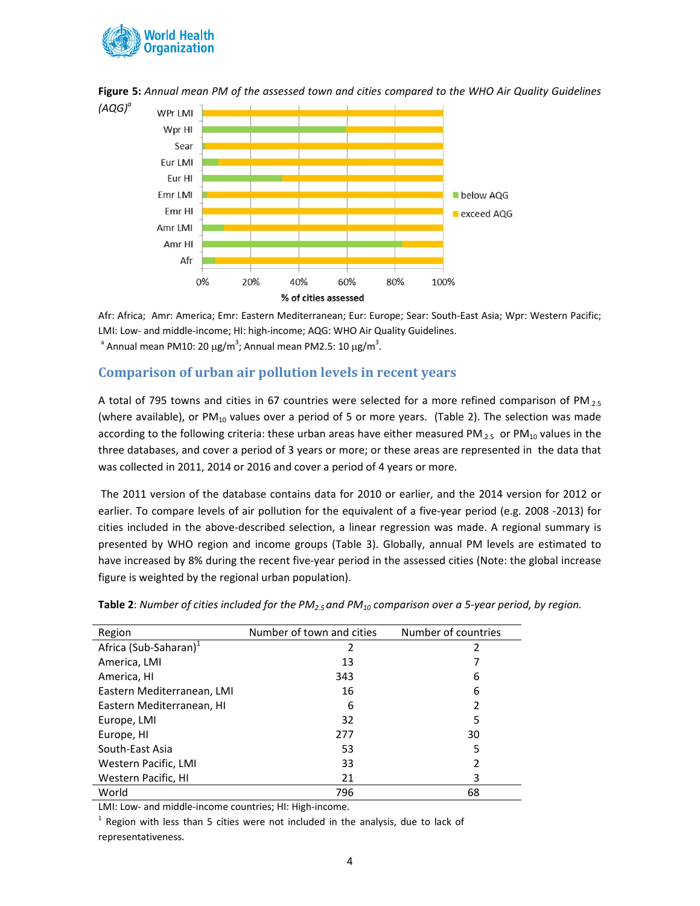



Figure 5: Annual mean PM of the assessed town and cities compared to the WHO Air Quality Guidelines

Afr: Africa; Amr: America; Emr: Eastern Mediterranean; Eur: Europe; Sear: South‐East Asia; Wpr: Western Pacific; LMI: Low- and middle-income; HI: high-income; AQG: WHO Air Quality Guidelines.

<sup>a</sup> Annual mean PM10: 20 µg/m<sup>3</sup>; Annual mean PM2.5: 10 µg/m<sup>3</sup>.

## **Comparison of urban air pollution levels in recent years**

A total of 795 towns and cities in 67 countries were selected for a more refined comparison of PM $_{2.5}$ (where available), or  $PM_{10}$  values over a period of 5 or more years. (Table 2). The selection was made according to the following criteria: these urban areas have either measured PM<sub>.2.5</sub> or PM<sub>10</sub> values in the three databases, and cover a period of 3 years or more; or these areas are represented in the data that was collected in 2011, 2014 or 2016 and cover a period of 4 years or more.

The 2011 version of the database contains data for 2010 or earlier, and the 2014 version for 2012 or earlier. To compare levels of air pollution for the equivalent of a five-year period (e.g. 2008 -2013) for cities included in the above‐described selection, a linear regression was made. A regional summary is presented by WHO region and income groups (Table 3). Globally, annual PM levels are estimated to have increased by 8% during the recent five-year period in the assessed cities (Note: the global increase figure is weighted by the regional urban population).

| Region                            | Number of town and cities | Number of countries |
|-----------------------------------|---------------------------|---------------------|
| Africa (Sub-Saharan) <sup>1</sup> | 2                         |                     |
| America, LMI                      | 13                        |                     |
| America, HI                       | 343                       | 6                   |
| Eastern Mediterranean, LMI        | 16                        | 6                   |
| Eastern Mediterranean, HI         | 6                         | 2                   |
| Europe, LMI                       | 32                        | 5                   |
| Europe, HI                        | 277                       | 30                  |
| South-East Asia                   | 53                        | 5                   |
| Western Pacific, LMI              | 33                        | 2                   |
| Western Pacific, HI               | 21                        | 3                   |
| World                             | 796                       | 68                  |

Table 2: Number of cities included for the PM<sub>2.5</sub> and PM<sub>10</sub> comparison over a 5-year period, by region.

LMI: Low‐ and middle‐income countries; HI: High‐income.

 $1$  Region with less than 5 cities were not included in the analysis, due to lack of representativeness.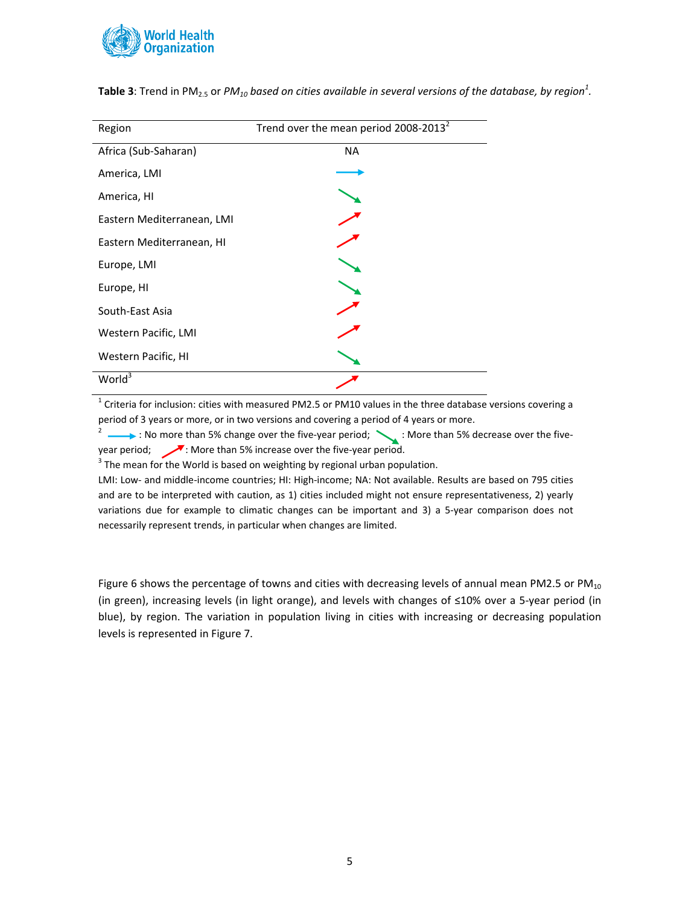

| Region                     | Trend over the mean period 2008-2013 <sup>2</sup> |
|----------------------------|---------------------------------------------------|
| Africa (Sub-Saharan)       | <b>NA</b>                                         |
| America, LMI               |                                                   |
| America, HI                |                                                   |
| Eastern Mediterranean, LMI |                                                   |
| Eastern Mediterranean, HI  |                                                   |
| Europe, LMI                |                                                   |
| Europe, HI                 |                                                   |
| South-East Asia            |                                                   |
| Western Pacific, LMI       |                                                   |
| Western Pacific, HI        |                                                   |
| World <sup>3</sup>         |                                                   |

**Table 3**: Trend in PM<sub>2.5</sub> or *PM<sub>10</sub> based on cities available in several versions of the database, by region* $^1$ *.* 

 $1$  Criteria for inclusion: cities with measured PM2.5 or PM10 values in the three database versions covering a period of 3 years or more, or in two versions and covering a period of 4 years or more.

<sup>2</sup>  $\longrightarrow$  : No more than 5% change over the five-year period;  $\searrow$  : More than 5% decrease over the fiveyear period; : More than 5% increase over the five‐year period.

 $3$  The mean for the World is based on weighting by regional urban population.

LMI: Low‐ and middle‐income countries; HI: High‐income; NA: Not available. Results are based on 795 cities and are to be interpreted with caution, as 1) cities included might not ensure representativeness, 2) yearly variations due for example to climatic changes can be important and 3) a 5‐year comparison does not necessarily represent trends, in particular when changes are limited.

Figure 6 shows the percentage of towns and cities with decreasing levels of annual mean PM2.5 or  $PM_{10}$ (in green), increasing levels (in light orange), and levels with changes of ≤10% over a 5‐year period (in blue), by region. The variation in population living in cities with increasing or decreasing population levels is represented in Figure 7.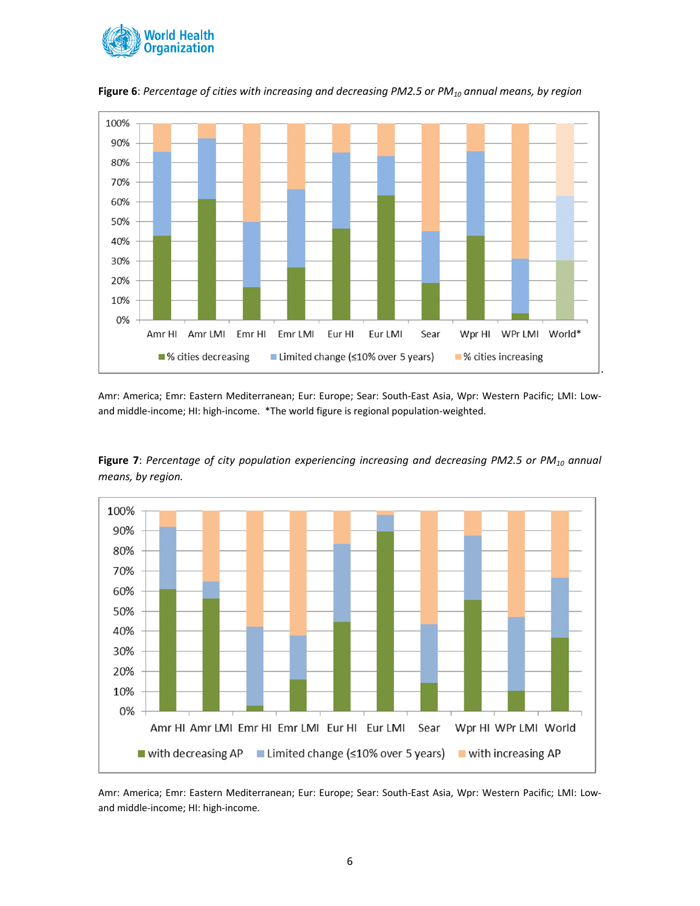



**Figure 6**: *Percentage of cities with increasing and decreasing PM2.5 or PM10 annual means, by region*

Amr: America; Emr: Eastern Mediterranean; Eur: Europe; Sear: South‐East Asia, Wpr: Western Pacific; LMI: Low‐ and middle-income; HI: high-income. \*The world figure is regional population-weighted.





Amr: America; Emr: Eastern Mediterranean; Eur: Europe; Sear: South‐East Asia, Wpr: Western Pacific; LMI: Low‐ and middle‐income; HI: high‐income.